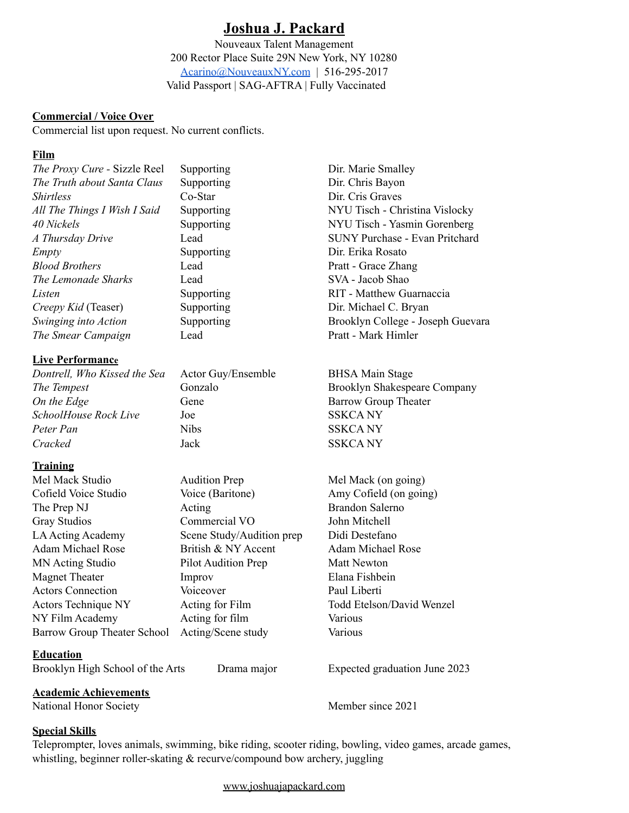## **Joshua J. Packard**

Nouveaux Talent Management 200 Rector Place Suite 29N New York, NY 10280 [Acarino@NouveauxNY.com](mailto:Acarino@NouveauxNY.com) | 516-295-2017 Valid Passport | SAG-AFTRA | Fully Vaccinated

#### **Commercial / Voice Over**

Commercial list upon request. No current conflicts.

### **Film**

| The Proxy Cure - Sizzle Reel                    | Supporting                | Dir. Marie Smalley                    |
|-------------------------------------------------|---------------------------|---------------------------------------|
| The Truth about Santa Claus                     | Supporting                | Dir. Chris Bayon                      |
| <i>Shirtless</i>                                | Co-Star                   | Dir. Cris Graves                      |
| All The Things I Wish I Said                    | Supporting                | NYU Tisch - Christina Vislocky        |
| 40 Nickels                                      | Supporting                | NYU Tisch - Yasmin Gorenberg          |
| A Thursday Drive                                | Lead                      | <b>SUNY Purchase - Evan Pritchard</b> |
| Empty                                           | Supporting                | Dir. Erika Rosato                     |
| <b>Blood Brothers</b>                           | Lead                      | Pratt - Grace Zhang                   |
| The Lemonade Sharks                             | Lead                      | SVA - Jacob Shao                      |
| Listen                                          | Supporting                | RIT - Matthew Guarnaccia              |
| Creepy Kid (Teaser)                             | Supporting                | Dir. Michael C. Bryan                 |
| Swinging into Action                            | Supporting                | Brooklyn College - Joseph Guevara     |
| The Smear Campaign                              | Lead                      | Pratt - Mark Himler                   |
| <b>Live Performance</b>                         |                           |                                       |
| Dontrell, Who Kissed the Sea                    | Actor Guy/Ensemble        | <b>BHSA Main Stage</b>                |
| The Tempest                                     | Gonzalo                   | Brooklyn Shakespeare Company          |
| On the Edge                                     | Gene                      | <b>Barrow Group Theater</b>           |
| SchoolHouse Rock Live                           | Joe                       | <b>SSKCANY</b>                        |
| Peter Pan                                       | <b>Nibs</b>               | <b>SSKCANY</b>                        |
| Cracked                                         | Jack                      | <b>SSKCANY</b>                        |
| <b>Training</b>                                 |                           |                                       |
| Mel Mack Studio                                 | <b>Audition Prep</b>      | Mel Mack (on going)                   |
| Cofield Voice Studio                            | Voice (Baritone)          | Amy Cofield (on going)                |
| The Prep NJ                                     | Acting                    | <b>Brandon Salerno</b>                |
| <b>Gray Studios</b>                             | Commercial VO             | John Mitchell                         |
| LA Acting Academy                               | Scene Study/Audition prep | Didi Destefano                        |
| <b>Adam Michael Rose</b>                        | British & NY Accent       | <b>Adam Michael Rose</b>              |
| <b>MN Acting Studio</b>                         | Pilot Audition Prep       | <b>Matt Newton</b>                    |
| <b>Magnet Theater</b>                           | Improv                    | Elana Fishbein                        |
| <b>Actors Connection</b>                        | Voiceover                 | Paul Liberti                          |
| Actors Technique NY                             | Acting for Film           | Todd Etelson/David Wenzel             |
| NY Film Academy                                 | Acting for film           | Various                               |
| <b>Barrow Group Theater School</b>              | Acting/Scene study        | Various                               |
| <b>Education</b>                                |                           |                                       |
| Brooklyn High School of the Arts<br>Drama major |                           | Expected graduation June 2023         |
| <b>Academic Achievements</b>                    |                           |                                       |
| National Honor Society                          |                           | Member since 2021                     |

#### **Special Skills**

Teleprompter, loves animals, swimming, bike riding, scooter riding, bowling, video games, arcade games, whistling, beginner roller-skating & recurve/compound bow archery, juggling

[www.joshuajapackard.com](http://www.joshuajapackard.com)